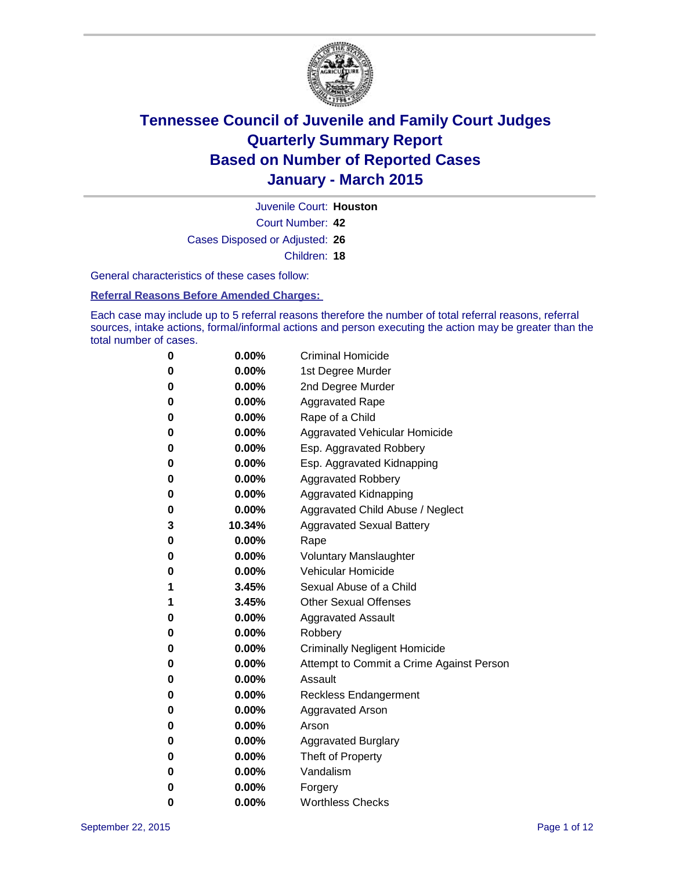

Court Number: **42** Juvenile Court: **Houston** Cases Disposed or Adjusted: **26** Children: **18**

General characteristics of these cases follow:

**Referral Reasons Before Amended Charges:** 

Each case may include up to 5 referral reasons therefore the number of total referral reasons, referral sources, intake actions, formal/informal actions and person executing the action may be greater than the total number of cases.

| 0        | $0.00\%$ | <b>Criminal Homicide</b>                 |  |  |
|----------|----------|------------------------------------------|--|--|
| 0        | $0.00\%$ | 1st Degree Murder                        |  |  |
| $\bf{0}$ | $0.00\%$ | 2nd Degree Murder                        |  |  |
| 0        | $0.00\%$ | <b>Aggravated Rape</b>                   |  |  |
| 0        | $0.00\%$ | Rape of a Child                          |  |  |
| 0        | $0.00\%$ | Aggravated Vehicular Homicide            |  |  |
| 0        | $0.00\%$ | Esp. Aggravated Robbery                  |  |  |
| 0        | $0.00\%$ | Esp. Aggravated Kidnapping               |  |  |
| $\bf{0}$ | $0.00\%$ | <b>Aggravated Robbery</b>                |  |  |
| $\bf{0}$ | $0.00\%$ | <b>Aggravated Kidnapping</b>             |  |  |
| 0        | 0.00%    | Aggravated Child Abuse / Neglect         |  |  |
| 3        | 10.34%   | <b>Aggravated Sexual Battery</b>         |  |  |
| $\bf{0}$ | 0.00%    | Rape                                     |  |  |
| 0        | 0.00%    | <b>Voluntary Manslaughter</b>            |  |  |
| 0        | $0.00\%$ | <b>Vehicular Homicide</b>                |  |  |
| 1        | 3.45%    | Sexual Abuse of a Child                  |  |  |
| 1        | 3.45%    | <b>Other Sexual Offenses</b>             |  |  |
| 0        | $0.00\%$ | <b>Aggravated Assault</b>                |  |  |
| 0        | $0.00\%$ | Robbery                                  |  |  |
| 0        | $0.00\%$ | <b>Criminally Negligent Homicide</b>     |  |  |
| 0        | $0.00\%$ | Attempt to Commit a Crime Against Person |  |  |
| 0        | $0.00\%$ | Assault                                  |  |  |
| 0        | 0.00%    | <b>Reckless Endangerment</b>             |  |  |
| 0        | $0.00\%$ | <b>Aggravated Arson</b>                  |  |  |
| 0        | $0.00\%$ | Arson                                    |  |  |
| $\bf{0}$ | $0.00\%$ | <b>Aggravated Burglary</b>               |  |  |
| 0        | $0.00\%$ | Theft of Property                        |  |  |
| 0        | $0.00\%$ | Vandalism                                |  |  |
| 0        | $0.00\%$ | Forgery                                  |  |  |
| 0        | $0.00\%$ | <b>Worthless Checks</b>                  |  |  |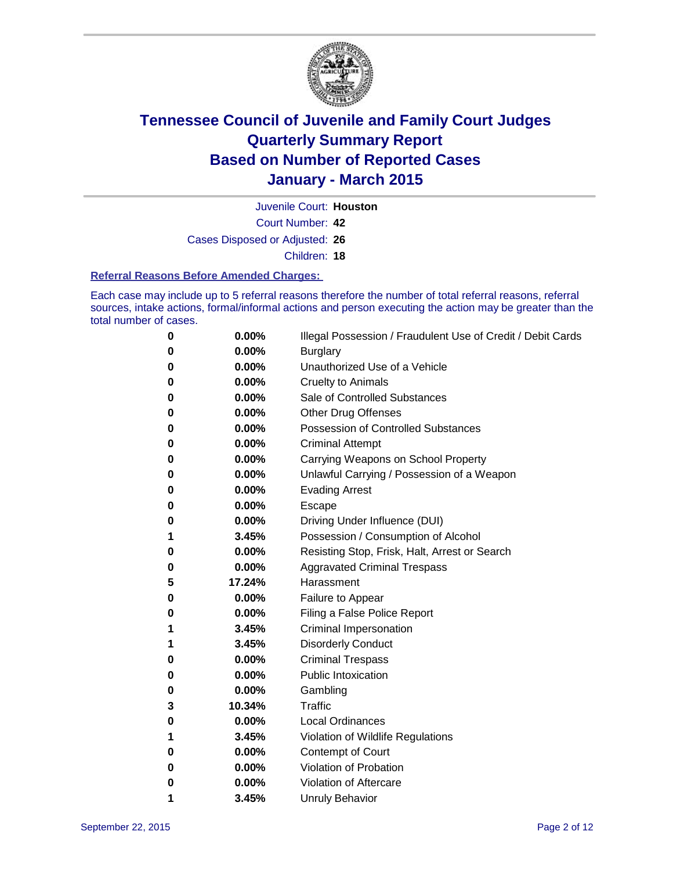

Juvenile Court: **Houston**

Court Number: **42**

Cases Disposed or Adjusted: **26**

Children: **18**

#### **Referral Reasons Before Amended Charges:**

Each case may include up to 5 referral reasons therefore the number of total referral reasons, referral sources, intake actions, formal/informal actions and person executing the action may be greater than the total number of cases.

| 0 | 0.00%  | Illegal Possession / Fraudulent Use of Credit / Debit Cards |
|---|--------|-------------------------------------------------------------|
| 0 | 0.00%  | <b>Burglary</b>                                             |
| 0 | 0.00%  | Unauthorized Use of a Vehicle                               |
| 0 | 0.00%  | <b>Cruelty to Animals</b>                                   |
| 0 | 0.00%  | Sale of Controlled Substances                               |
| 0 | 0.00%  | <b>Other Drug Offenses</b>                                  |
| 0 | 0.00%  | <b>Possession of Controlled Substances</b>                  |
| 0 | 0.00%  | <b>Criminal Attempt</b>                                     |
| 0 | 0.00%  | Carrying Weapons on School Property                         |
| 0 | 0.00%  | Unlawful Carrying / Possession of a Weapon                  |
| 0 | 0.00%  | <b>Evading Arrest</b>                                       |
| 0 | 0.00%  | Escape                                                      |
| 0 | 0.00%  | Driving Under Influence (DUI)                               |
| 1 | 3.45%  | Possession / Consumption of Alcohol                         |
| 0 | 0.00%  | Resisting Stop, Frisk, Halt, Arrest or Search               |
| 0 | 0.00%  | <b>Aggravated Criminal Trespass</b>                         |
| 5 | 17.24% | Harassment                                                  |
| 0 | 0.00%  | Failure to Appear                                           |
| 0 | 0.00%  | Filing a False Police Report                                |
| 1 | 3.45%  | Criminal Impersonation                                      |
| 1 | 3.45%  | <b>Disorderly Conduct</b>                                   |
| 0 | 0.00%  | <b>Criminal Trespass</b>                                    |
| 0 | 0.00%  | <b>Public Intoxication</b>                                  |
| 0 | 0.00%  | Gambling                                                    |
| 3 | 10.34% | Traffic                                                     |
| 0 | 0.00%  | <b>Local Ordinances</b>                                     |
| 1 | 3.45%  | Violation of Wildlife Regulations                           |
| 0 | 0.00%  | Contempt of Court                                           |
| 0 | 0.00%  | Violation of Probation                                      |
| 0 | 0.00%  | Violation of Aftercare                                      |
| 1 | 3.45%  | <b>Unruly Behavior</b>                                      |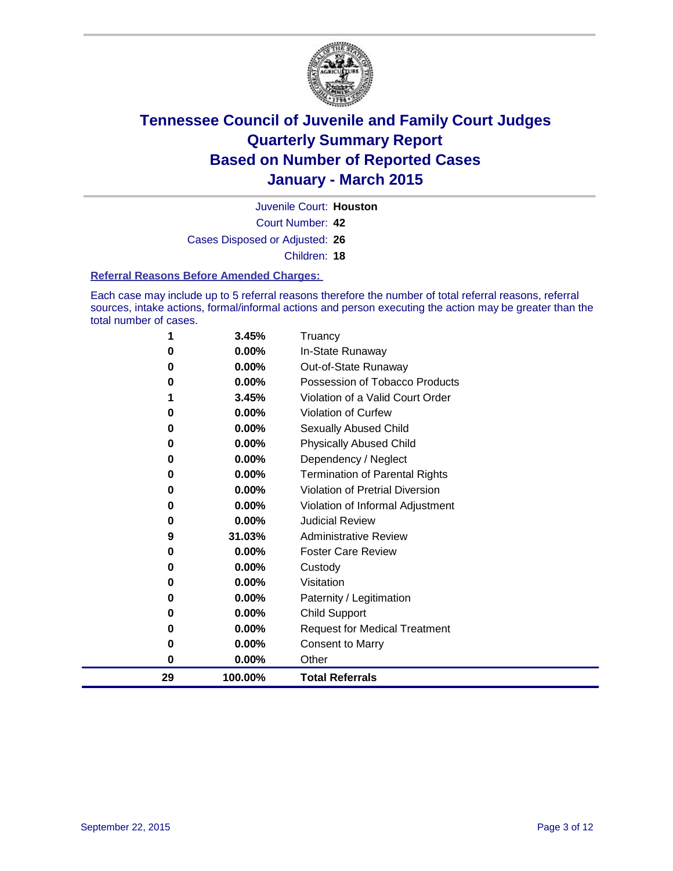

Court Number: **42** Juvenile Court: **Houston** Cases Disposed or Adjusted: **26** Children: **18**

#### **Referral Reasons Before Amended Charges:**

Each case may include up to 5 referral reasons therefore the number of total referral reasons, referral sources, intake actions, formal/informal actions and person executing the action may be greater than the total number of cases.

|    | 3.45%    | Truancy                                |
|----|----------|----------------------------------------|
| 0  | 0.00%    | In-State Runaway                       |
| 0  | 0.00%    | Out-of-State Runaway                   |
| 0  | 0.00%    | Possession of Tobacco Products         |
|    | 3.45%    | Violation of a Valid Court Order       |
| 0  | 0.00%    | <b>Violation of Curfew</b>             |
| 0  | 0.00%    | Sexually Abused Child                  |
| 0  | 0.00%    | <b>Physically Abused Child</b>         |
| 0  | 0.00%    | Dependency / Neglect                   |
| 0  | 0.00%    | <b>Termination of Parental Rights</b>  |
| 0  | $0.00\%$ | <b>Violation of Pretrial Diversion</b> |
| 0  | 0.00%    | Violation of Informal Adjustment       |
| 0  | 0.00%    | <b>Judicial Review</b>                 |
| 9  | 31.03%   | <b>Administrative Review</b>           |
| 0  | $0.00\%$ | <b>Foster Care Review</b>              |
| 0  | 0.00%    | Custody                                |
| 0  | 0.00%    | Visitation                             |
| 0  | 0.00%    | Paternity / Legitimation               |
| 0  | 0.00%    | <b>Child Support</b>                   |
| 0  | 0.00%    | <b>Request for Medical Treatment</b>   |
| 0  | 0.00%    | <b>Consent to Marry</b>                |
| 0  | 0.00%    | Other                                  |
| 29 | 100.00%  | <b>Total Referrals</b>                 |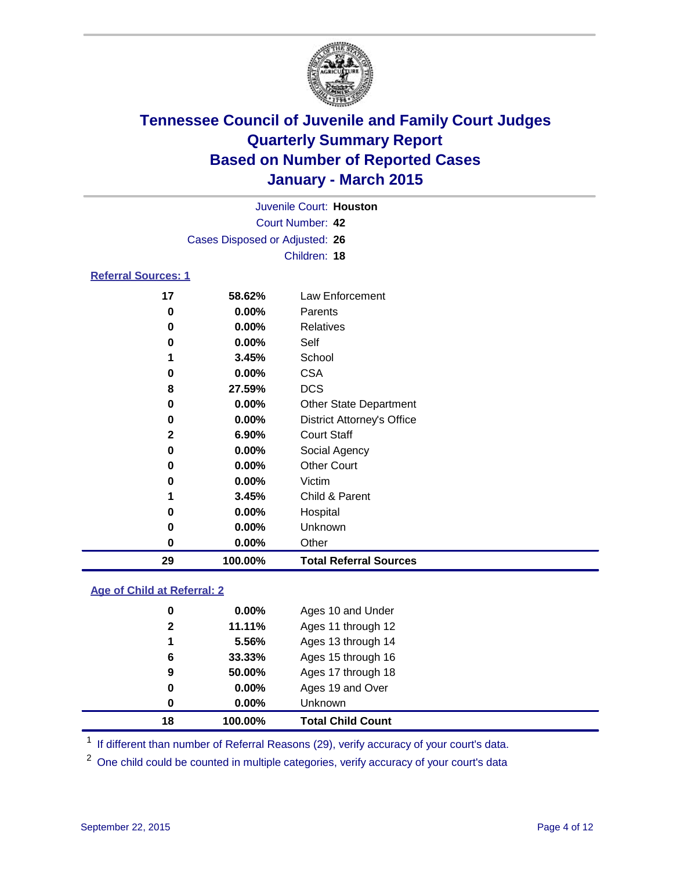

|                            | Juvenile Court: Houston        |                 |
|----------------------------|--------------------------------|-----------------|
|                            | Court Number: 42               |                 |
|                            | Cases Disposed or Adjusted: 26 |                 |
|                            | Children: 18                   |                 |
| <b>Referral Sources: 1</b> |                                |                 |
| 17                         | 58.62%                         | Law Enforcement |

| 29           | 100.00%  | <b>Total Referral Sources</b>     |
|--------------|----------|-----------------------------------|
| 0            | $0.00\%$ | Other                             |
| 0            | $0.00\%$ | Unknown                           |
| 0            | $0.00\%$ | Hospital                          |
|              | 3.45%    | Child & Parent                    |
| 0            | $0.00\%$ | Victim                            |
| 0            | $0.00\%$ | <b>Other Court</b>                |
| 0            | $0.00\%$ | Social Agency                     |
| $\mathbf{2}$ | 6.90%    | <b>Court Staff</b>                |
| 0            | $0.00\%$ | <b>District Attorney's Office</b> |
| 0            | $0.00\%$ | <b>Other State Department</b>     |
| 8            | 27.59%   | <b>DCS</b>                        |
| 0            | 0.00%    | <b>CSA</b>                        |
|              | 3.45%    | School                            |
| 0            | $0.00\%$ | Self                              |
| 0            | 0.00%    | Relatives                         |
| 0            | $0.00\%$ | Parents                           |
| 17           | 58.62%   | Law Enforcement                   |

### **Age of Child at Referral: 2**

| 18           | 100.00%  | <b>Total Child Count</b> |
|--------------|----------|--------------------------|
| 0            | $0.00\%$ | Unknown                  |
| 0            | $0.00\%$ | Ages 19 and Over         |
| 9            | 50.00%   | Ages 17 through 18       |
| 6            | 33.33%   | Ages 15 through 16       |
| 1            | 5.56%    | Ages 13 through 14       |
| $\mathbf{2}$ | 11.11%   | Ages 11 through 12       |
| 0            | $0.00\%$ | Ages 10 and Under        |

<sup>1</sup> If different than number of Referral Reasons (29), verify accuracy of your court's data.

One child could be counted in multiple categories, verify accuracy of your court's data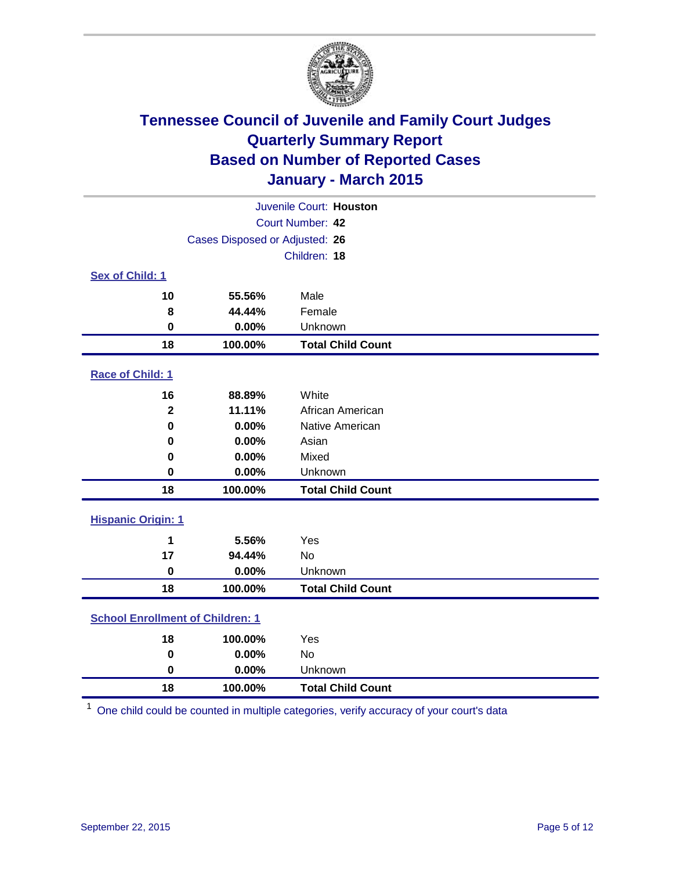

| Juvenile Court: Houston                 |                                |                          |  |  |  |
|-----------------------------------------|--------------------------------|--------------------------|--|--|--|
|                                         | Court Number: 42               |                          |  |  |  |
|                                         | Cases Disposed or Adjusted: 26 |                          |  |  |  |
|                                         | Children: 18                   |                          |  |  |  |
| <b>Sex of Child: 1</b>                  |                                |                          |  |  |  |
| 10                                      | 55.56%                         | Male                     |  |  |  |
| 8                                       | 44.44%                         | Female                   |  |  |  |
| $\bf{0}$                                | 0.00%                          | Unknown                  |  |  |  |
| 18                                      | 100.00%                        | <b>Total Child Count</b> |  |  |  |
| Race of Child: 1                        |                                |                          |  |  |  |
| 16                                      | 88.89%                         | White                    |  |  |  |
| $\overline{\mathbf{2}}$                 | 11.11%                         | African American         |  |  |  |
| $\bf{0}$                                | 0.00%                          | Native American          |  |  |  |
| 0                                       | 0.00%                          | Asian                    |  |  |  |
| 0                                       | 0.00%                          | Mixed                    |  |  |  |
| 0                                       | 0.00%                          | Unknown                  |  |  |  |
| 18                                      | 100.00%                        | <b>Total Child Count</b> |  |  |  |
| <b>Hispanic Origin: 1</b>               |                                |                          |  |  |  |
| 1                                       | 5.56%                          | Yes                      |  |  |  |
| 17                                      | 94.44%                         | No                       |  |  |  |
| $\bf{0}$                                | 0.00%                          | Unknown                  |  |  |  |
| 18                                      | 100.00%                        | <b>Total Child Count</b> |  |  |  |
| <b>School Enrollment of Children: 1</b> |                                |                          |  |  |  |
| 18                                      | 100.00%                        | Yes                      |  |  |  |
| $\bf{0}$                                | 0.00%                          | No                       |  |  |  |
| $\mathbf 0$                             | 0.00%                          | Unknown                  |  |  |  |
| 18                                      | 100.00%                        | <b>Total Child Count</b> |  |  |  |

One child could be counted in multiple categories, verify accuracy of your court's data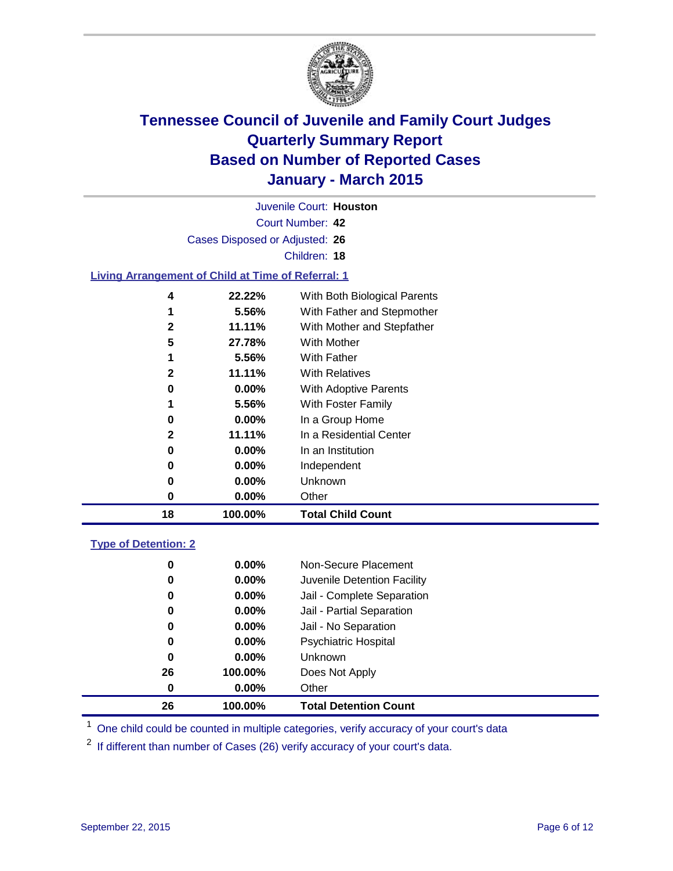

| Juvenile Court: Houston                                   |              |                              |  |  |  |  |
|-----------------------------------------------------------|--------------|------------------------------|--|--|--|--|
| Court Number: 42                                          |              |                              |  |  |  |  |
| Cases Disposed or Adjusted: 26                            |              |                              |  |  |  |  |
|                                                           | Children: 18 |                              |  |  |  |  |
| <b>Living Arrangement of Child at Time of Referral: 1</b> |              |                              |  |  |  |  |
|                                                           |              |                              |  |  |  |  |
| 4                                                         | 22.22%       | With Both Biological Parents |  |  |  |  |
| 1                                                         | 5.56%        | With Father and Stepmother   |  |  |  |  |
| $\mathbf{2}$                                              | 11.11%       | With Mother and Stepfather   |  |  |  |  |
| 5                                                         | 27.78%       | <b>With Mother</b>           |  |  |  |  |
| 1                                                         | 5.56%        | With Father                  |  |  |  |  |
| $\mathbf{2}$                                              | 11.11%       | <b>With Relatives</b>        |  |  |  |  |
| 0                                                         | $0.00\%$     | With Adoptive Parents        |  |  |  |  |
| 1                                                         | 5.56%        | With Foster Family           |  |  |  |  |
| 0                                                         | $0.00\%$     | In a Group Home              |  |  |  |  |
| $\mathbf{2}$                                              | 11.11%       | In a Residential Center      |  |  |  |  |
| 0                                                         | $0.00\%$     | In an Institution            |  |  |  |  |
| 0                                                         | $0.00\%$     | Independent                  |  |  |  |  |
| 0                                                         | $0.00\%$     | Unknown                      |  |  |  |  |
| 0                                                         | $0.00\%$     | Other                        |  |  |  |  |
| 18                                                        | 100.00%      | <b>Total Child Count</b>     |  |  |  |  |

### **Type of Detention: 2**

| 26<br>0 | 100.00%<br>$0.00\%$ | Does Not Apply<br>Other     |  |
|---------|---------------------|-----------------------------|--|
|         |                     |                             |  |
|         |                     |                             |  |
| 0       | $0.00\%$            | <b>Unknown</b>              |  |
| 0       | $0.00\%$            | <b>Psychiatric Hospital</b> |  |
| 0       | 0.00%               | Jail - No Separation        |  |
| 0       | 0.00%               | Jail - Partial Separation   |  |
| 0       | $0.00\%$            | Jail - Complete Separation  |  |
| 0       | 0.00%               | Juvenile Detention Facility |  |
| 0       | $0.00\%$            | Non-Secure Placement        |  |
|         |                     |                             |  |

<sup>1</sup> One child could be counted in multiple categories, verify accuracy of your court's data

If different than number of Cases (26) verify accuracy of your court's data.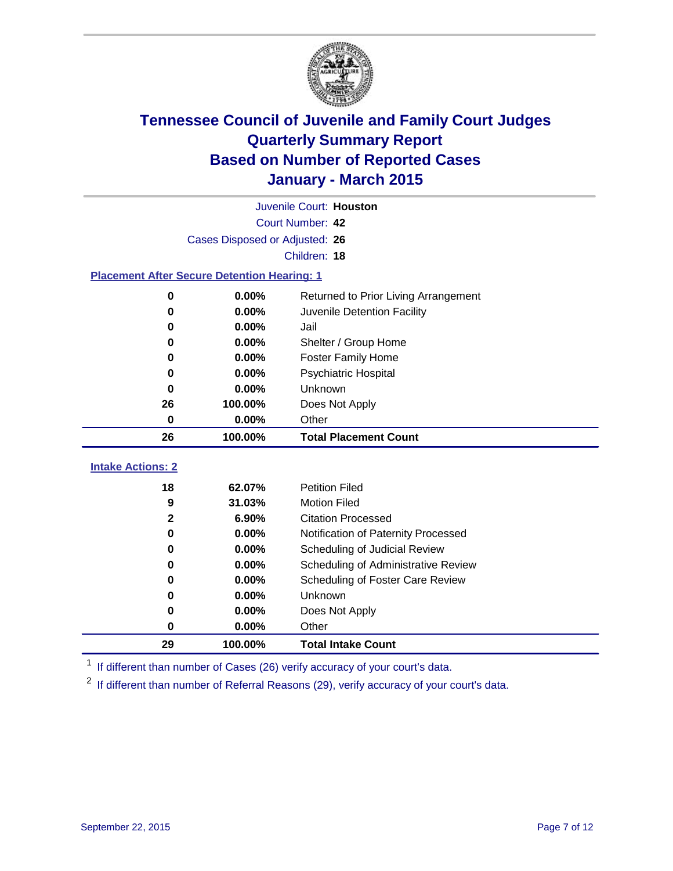

|                                                    | Juvenile Court: Houston        |                                      |  |  |  |  |
|----------------------------------------------------|--------------------------------|--------------------------------------|--|--|--|--|
|                                                    | Court Number: 42               |                                      |  |  |  |  |
|                                                    | Cases Disposed or Adjusted: 26 |                                      |  |  |  |  |
|                                                    | Children: 18                   |                                      |  |  |  |  |
| <b>Placement After Secure Detention Hearing: 1</b> |                                |                                      |  |  |  |  |
| $\pmb{0}$                                          | 0.00%                          | Returned to Prior Living Arrangement |  |  |  |  |
| $\bf{0}$                                           | 0.00%                          | Juvenile Detention Facility          |  |  |  |  |
| $\bf{0}$                                           | 0.00%                          | Jail                                 |  |  |  |  |
| 0                                                  | 0.00%                          | Shelter / Group Home                 |  |  |  |  |
| 0                                                  | 0.00%                          | <b>Foster Family Home</b>            |  |  |  |  |
| $\bf{0}$                                           | 0.00%                          | <b>Psychiatric Hospital</b>          |  |  |  |  |
| 0                                                  | 0.00%                          | Unknown                              |  |  |  |  |
| 26                                                 | 100.00%                        | Does Not Apply                       |  |  |  |  |
| $\bf{0}$                                           | 0.00%                          | Other                                |  |  |  |  |
| 26                                                 | 100.00%                        | <b>Total Placement Count</b>         |  |  |  |  |
| <b>Intake Actions: 2</b>                           |                                |                                      |  |  |  |  |
| 18                                                 | 62.07%                         | <b>Petition Filed</b>                |  |  |  |  |
| 9                                                  | 31.03%                         | <b>Motion Filed</b>                  |  |  |  |  |
| $\mathbf{2}$                                       | 6.90%                          | <b>Citation Processed</b>            |  |  |  |  |
| $\bf{0}$                                           | 0.00%                          | Notification of Paternity Processed  |  |  |  |  |
| 0                                                  | 0.00%                          | Scheduling of Judicial Review        |  |  |  |  |
| 0                                                  | 0.00%                          | Scheduling of Administrative Review  |  |  |  |  |
| 0                                                  | 0.00%                          | Scheduling of Foster Care Review     |  |  |  |  |
| $\bf{0}$                                           | 0.00%                          | Unknown                              |  |  |  |  |
| 0                                                  |                                |                                      |  |  |  |  |
|                                                    | 0.00%                          | Does Not Apply                       |  |  |  |  |
| $\bf{0}$                                           | 0.00%                          | Other                                |  |  |  |  |

<sup>1</sup> If different than number of Cases (26) verify accuracy of your court's data.

<sup>2</sup> If different than number of Referral Reasons (29), verify accuracy of your court's data.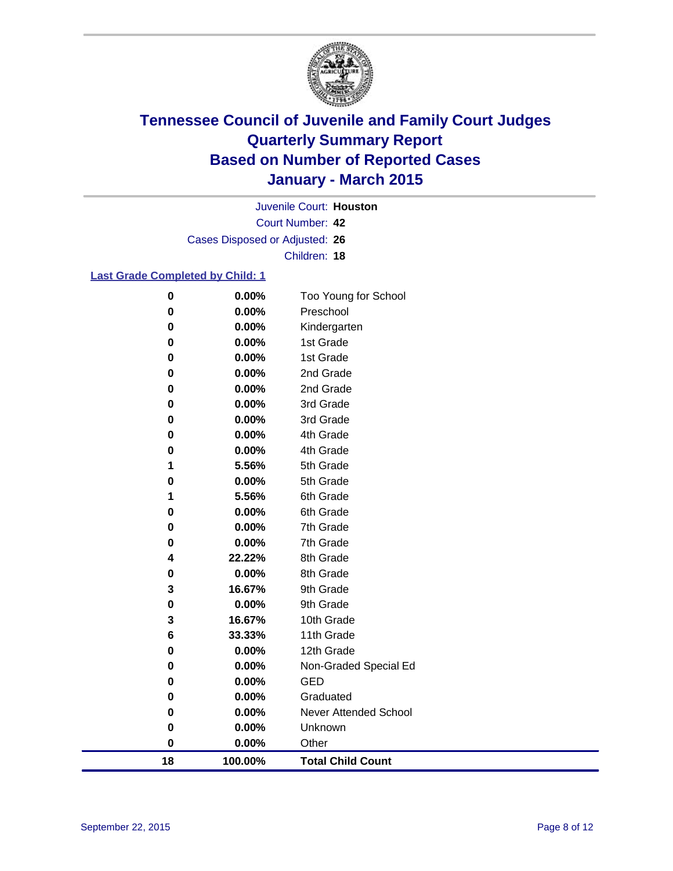

Court Number: **42** Juvenile Court: **Houston** Cases Disposed or Adjusted: **26** Children: **18**

#### **Last Grade Completed by Child: 1**

| 18            | 100.00%        | <b>Total Child Count</b>     |
|---------------|----------------|------------------------------|
| $\pmb{0}$     | 0.00%          | Other                        |
| $\bf{0}$      | 0.00%          | Unknown                      |
| $\bf{0}$      | 0.00%          | <b>Never Attended School</b> |
| $\bf{0}$      | 0.00%          | Graduated                    |
| $\bf{0}$      | 0.00%          | <b>GED</b>                   |
| 0             | 0.00%          | Non-Graded Special Ed        |
| 0             | 0.00%          | 12th Grade                   |
| 6             | 33.33%         | 11th Grade                   |
| 3             | 16.67%         | 10th Grade                   |
| 0             | 0.00%          | 9th Grade                    |
| 3             | 16.67%         | 9th Grade                    |
| $\bf{0}$      | 0.00%          | 8th Grade                    |
| 4             | 22.22%         | 8th Grade                    |
| 0             | 0.00%          | 7th Grade                    |
| 0             | 0.00%          | 7th Grade                    |
| 0             | 0.00%          | 6th Grade                    |
| 1             | 5.56%          | 6th Grade                    |
| 0             | 0.00%          | 5th Grade                    |
| 1             | 5.56%          | 5th Grade                    |
| 0             | 0.00%          | 4th Grade                    |
| 0             | 0.00%          | 4th Grade                    |
| $\bf{0}$      | 0.00%          | 3rd Grade                    |
| $\bf{0}$      | 0.00%          | 3rd Grade                    |
| $\bf{0}$      | 0.00%          | 2nd Grade                    |
| 0             | 0.00%          | 2nd Grade                    |
| $\bf{0}$<br>0 | 0.00%<br>0.00% | 1st Grade                    |
| $\bf{0}$      | 0.00%          | Kindergarten<br>1st Grade    |
| $\bf{0}$      | 0.00%          | Preschool                    |
|               | 0.00%          | Too Young for School         |
| $\bf{0}$      |                |                              |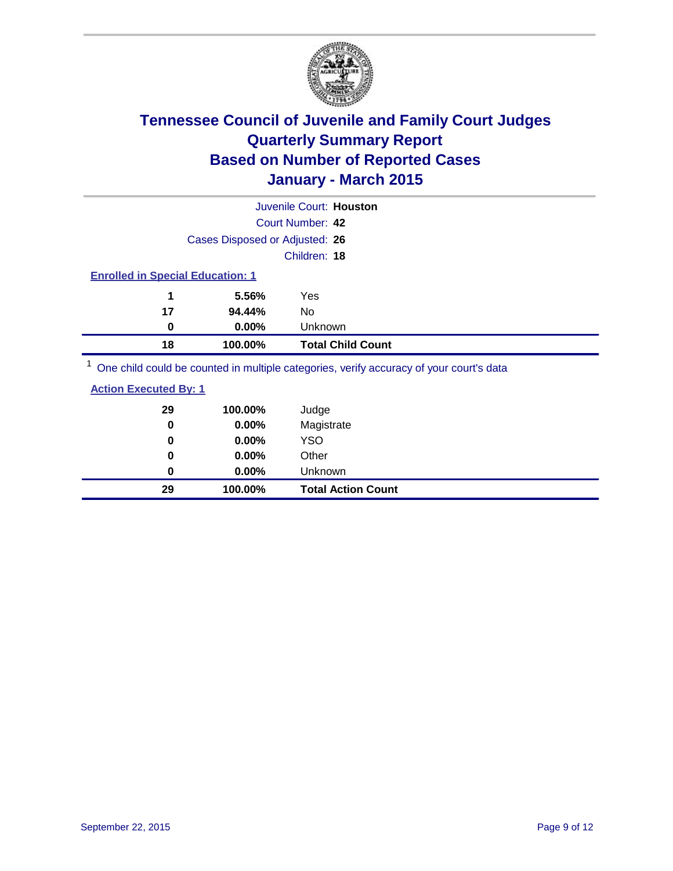

|                                         |                                | Juvenile Court: Houston                                                                                                 |
|-----------------------------------------|--------------------------------|-------------------------------------------------------------------------------------------------------------------------|
|                                         |                                | Court Number: 42                                                                                                        |
|                                         | Cases Disposed or Adjusted: 26 |                                                                                                                         |
|                                         |                                | Children: 18                                                                                                            |
| <b>Enrolled in Special Education: 1</b> |                                |                                                                                                                         |
| 1                                       | 5.56%                          | Yes                                                                                                                     |
| 17                                      | 94.44%                         | No                                                                                                                      |
| 0                                       | $0.00\%$                       | Unknown                                                                                                                 |
| 18                                      | 100.00%                        | <b>Total Child Count</b>                                                                                                |
|                                         |                                | $1 \text{ O}$ as a shifted equilable a countried in multiple contenented supplies a counterpart of units countries data |

<sup>1</sup> One child could be counted in multiple categories, verify accuracy of your court's data

| <b>Action Executed By: 1</b> |
|------------------------------|
|------------------------------|

| 29<br>0 | 100.00%<br>0.00% | Judge<br>Magistrate       |
|---------|------------------|---------------------------|
| 0       | $0.00\%$         | <b>YSO</b>                |
| 0       | 0.00%            | Other                     |
| 0       | $0.00\%$         | Unknown                   |
| 29      | 100.00%          | <b>Total Action Count</b> |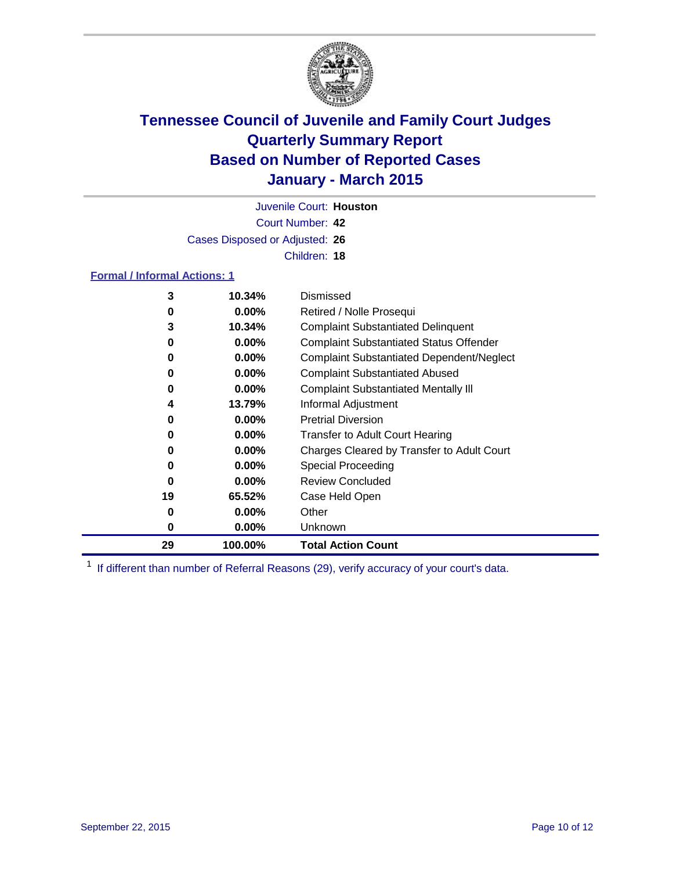

Court Number: **42** Juvenile Court: **Houston** Cases Disposed or Adjusted: **26** Children: **18**

### **Formal / Informal Actions: 1**

| 3  | 10.34%   | Dismissed                                        |
|----|----------|--------------------------------------------------|
| 0  | $0.00\%$ | Retired / Nolle Prosequi                         |
| 3  | 10.34%   | <b>Complaint Substantiated Delinguent</b>        |
| 0  | $0.00\%$ | <b>Complaint Substantiated Status Offender</b>   |
| 0  | $0.00\%$ | <b>Complaint Substantiated Dependent/Neglect</b> |
| 0  | $0.00\%$ | <b>Complaint Substantiated Abused</b>            |
| 0  | $0.00\%$ | <b>Complaint Substantiated Mentally III</b>      |
| 4  | 13.79%   | Informal Adjustment                              |
| 0  | $0.00\%$ | <b>Pretrial Diversion</b>                        |
| 0  | $0.00\%$ | <b>Transfer to Adult Court Hearing</b>           |
| 0  | $0.00\%$ | Charges Cleared by Transfer to Adult Court       |
| 0  | $0.00\%$ | Special Proceeding                               |
| 0  | $0.00\%$ | <b>Review Concluded</b>                          |
| 19 | 65.52%   | Case Held Open                                   |
| 0  | $0.00\%$ | Other                                            |
| 0  | $0.00\%$ | Unknown                                          |
| 29 | 100.00%  | <b>Total Action Count</b>                        |

<sup>1</sup> If different than number of Referral Reasons (29), verify accuracy of your court's data.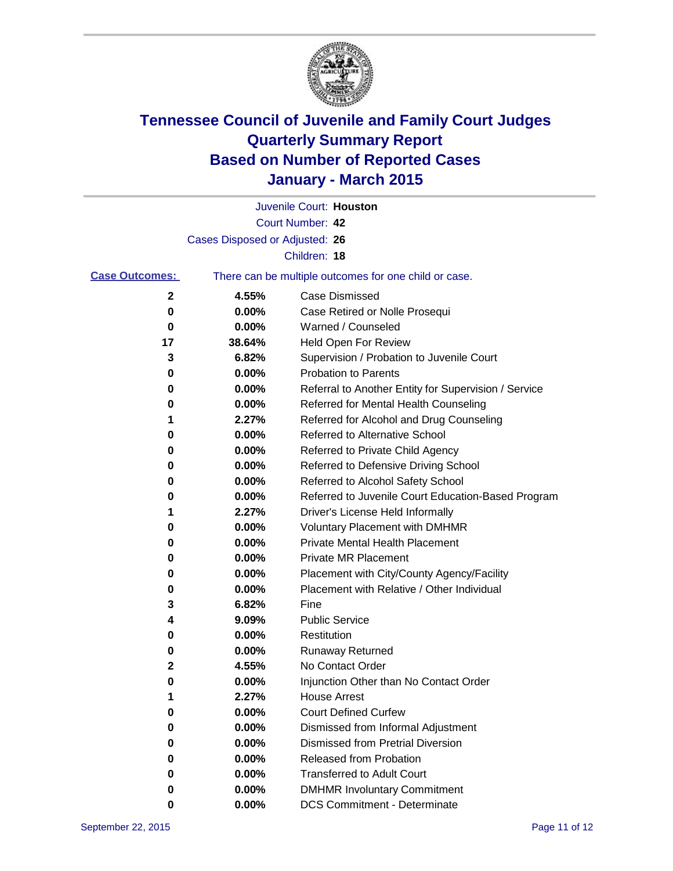

|                       |                                | Juvenile Court: Houston                               |
|-----------------------|--------------------------------|-------------------------------------------------------|
|                       |                                | Court Number: 42                                      |
|                       | Cases Disposed or Adjusted: 26 |                                                       |
|                       |                                | Children: 18                                          |
| <b>Case Outcomes:</b> |                                | There can be multiple outcomes for one child or case. |
| 2                     | 4.55%                          | <b>Case Dismissed</b>                                 |
| 0                     | 0.00%                          | Case Retired or Nolle Prosequi                        |
| 0                     | 0.00%                          | Warned / Counseled                                    |
| 17                    | 38.64%                         | Held Open For Review                                  |
| 3                     | 6.82%                          | Supervision / Probation to Juvenile Court             |
| 0                     | 0.00%                          | <b>Probation to Parents</b>                           |
| 0                     | 0.00%                          | Referral to Another Entity for Supervision / Service  |
| 0                     | 0.00%                          | Referred for Mental Health Counseling                 |
| 1                     | 2.27%                          | Referred for Alcohol and Drug Counseling              |
| 0                     | 0.00%                          | <b>Referred to Alternative School</b>                 |
| 0                     | 0.00%                          | Referred to Private Child Agency                      |
| 0                     | 0.00%                          | Referred to Defensive Driving School                  |
| 0                     | 0.00%                          | Referred to Alcohol Safety School                     |
| 0                     | 0.00%                          | Referred to Juvenile Court Education-Based Program    |
| 1                     | 2.27%                          | Driver's License Held Informally                      |
| 0                     | 0.00%                          | <b>Voluntary Placement with DMHMR</b>                 |
| 0                     | 0.00%                          | <b>Private Mental Health Placement</b>                |
| 0                     | 0.00%                          | <b>Private MR Placement</b>                           |
| 0                     | 0.00%                          | Placement with City/County Agency/Facility            |
| 0                     | 0.00%                          | Placement with Relative / Other Individual            |
| 3                     | 6.82%                          | Fine                                                  |
| 4                     | 9.09%                          | <b>Public Service</b>                                 |
| 0                     | 0.00%                          | Restitution                                           |
| 0                     | 0.00%                          | <b>Runaway Returned</b>                               |
| 2                     | 4.55%                          | No Contact Order                                      |
| 0                     | 0.00%                          | Injunction Other than No Contact Order                |
| 1                     | 2.27%                          | <b>House Arrest</b>                                   |
| 0                     | 0.00%                          | <b>Court Defined Curfew</b>                           |
| 0                     | 0.00%                          | Dismissed from Informal Adjustment                    |
| 0                     | 0.00%                          | Dismissed from Pretrial Diversion                     |
| 0                     | 0.00%                          | Released from Probation                               |
| 0                     | 0.00%                          | <b>Transferred to Adult Court</b>                     |
| 0                     | 0.00%                          | <b>DMHMR Involuntary Commitment</b>                   |
| 0                     | $0.00\%$                       | <b>DCS Commitment - Determinate</b>                   |